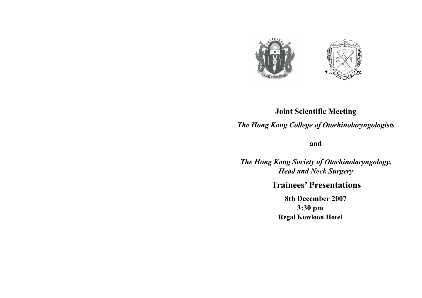

# **Joint Scientific Meeting**  *The Hong Kong College of Otorhinolaryngologists*

**and** 

*The Hong Kong Society of Otorhinolaryngology, Head and Neck Surgery* 

### **Trainees' Presentations**

**8th December 2007 3:30 pm Regal Kowloon Hotel**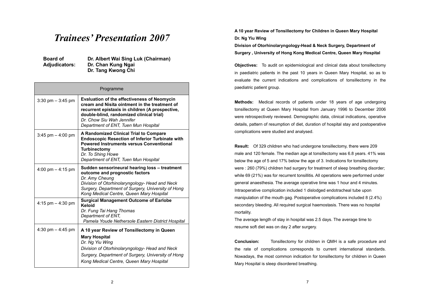## *Trainees' Presentation 2007*

**Board of Adjudicators:**  **Dr. Albert Wai Sing Luk (Chairman) Dr. Chan Kung Ngai Dr. Tang Kwong Chi** 

| Programme            |                                                                                                                                                                                                                                                                         |
|----------------------|-------------------------------------------------------------------------------------------------------------------------------------------------------------------------------------------------------------------------------------------------------------------------|
| $3:30$ pm $-3:45$ pm | <b>Evaluation of the effectiveness of Neomycin</b><br>cream and Nisita ointment in the treatment of<br>recurrent epistaxis in children (A prospective,<br>double-blind, randomized clinical trial)<br>Dr. Chow Siu Wah Jennifer<br>Department of ENT, Tuen Mun Hospital |
| 3:45 pm $-$ 4:00 pm  | A Randomized Clinical Trial to Compare<br><b>Endoscopic Resection of Inferior Turbinate with</b><br><b>Powered Instruments versus Conventional</b><br>Turbinectomy<br>Dr. To Shing Howe<br>Department of ENT, Tuen Mun Hospital                                         |
| 4:00 pm $-$ 4:15 pm  | Sudden sensorineural hearing loss - treatment<br>outcome and prognostic factors<br>Dr. Amy Cheung<br>Division of Otorhinolaryngology- Head and Neck<br>Surgery, Department of Surgery, University of Hong<br>Kong Medical Centre, Queen Mary Hospital                   |
| $4:15$ pm $-4:30$ pm | <b>Surgical Management Outcome of Earlobe</b><br>Keloid<br>Dr. Fung Tai Hang Thomas<br>Department of ENT,<br>Pamela Youde Nethersole Eastern District Hospital                                                                                                          |
| 4:30 pm $-$ 4:45 pm  | A 10 year Review of Tonsillectomy in Queen<br><b>Mary Hospital</b><br>Dr. Ng Yiu Wing<br>Division of Otorhinolaryngology- Head and Neck<br>Surgery, Department of Surgery, University of Hong<br>Kong Medical Centre, Queen Mary Hospital                               |

**A 10 year Review of Tonsillectomy for Children in Queen Mary Hospital Dr. Ng Yiu Wing** 

**Division of Otorhinolaryngology-Head & Neck Surgery, Department of Surgery , University of Hong Kong Medical Centre, Queen Mary Hospital** 

**Objectives:** To audit on epidemiological and clinical data about tonsillectomy in paediatric patients in the past 10 years in Queen Mary Hospital, so as to evaluate the current indications and complications of tonsillectomy in the paediatric patient group.

**Methods:** Medical records of patients under 18 years of age undergoing tonsillectomy at Queen Mary Hospital from January 1996 to December 2006 were retrospectively reviewed. Demographic data, clinical indications, operative details, pattern of resumption of diet, duration of hospital stay and postoperative complications were studied and analysed.

**Result:** Of 329 children who had undergone tonsillectomy, there were 209 male and 120 female. The median age at tonsillectomy was 6.8 years. 41% was below the age of 5 and 17% below the age of 3. Indications for tonsillectomy were : 260 (79%) children had surgery for treatment of sleep breathing disorder; while 69 (21%) was for recurrent tonsillitis. All operations were performed under general anaesthesia. The average operative time was 1 hour and 4 minutes. Intraoperative complication included 1 dislodged endotracheal tube upon manipulation of the mouth gag. Postoperative complications included 8 (2.4%) secondary bleeding. All required surgical haemostasis. There was no hospital mortality.

The average length of stay in hospital was 2.5 days. The average time to resume soft diet was on day 2 after surgery.

**Conclusion:** Tonsillectomy for children in QMH is a safe procedure and the rate of complications corresponds to current international standards. Nowadays, the most common indication for tonsillectomy for children in Queen Mary Hospital is sleep disordered breathing.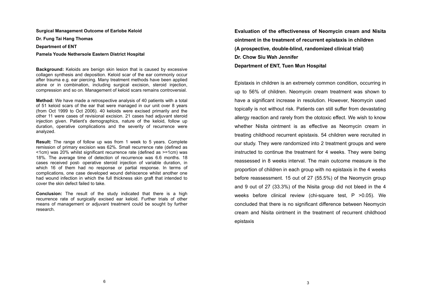**Surgical Management Outcome of Earlobe Keloid Dr. Fung Tai Hang Thomas Department of ENT** 

### **Pamela Youde Nethersole Eastern District Hospital**

**Background:** Keloids are benign skin lesion that is caused by excessive collagen synthesis and deposition. Keloid scar of the ear commonly occur after trauma e.g. ear piercing. Many treatment methods have been applied alone or in combination, including surgical excision, steroid injection, compression and so on. Management of keloid scars remains controversial.

**Method:** We have made a retrospective analysis of 40 patients with a total of 51 keloid scars of the ear that were managed in our unit over 8 years (from Oct 1999 to Oct 2006). 40 keloids were excised primarily and the other 11 were cases of revisional excision. 21 cases had adjuvant steroid injection given. Patient's demographics, nature of the keloid, follow up duration, operative complications and the severity of recurrence were analyzed.

**Result:** The range of follow up was from 1 week to 5 years. Complete remission of primary excision was 62%. Small recurrence rate (defined as <1cm) was 20% whilst significant recurrence rate (defined as >=1cm) was 18%. The average time of detection of recurrence was 6.6 months. 18 cases received post- operative steroid injection of variable duration, in which 16 of them had no response or partial response. In terms of complications, one case developed wound dehiscence whilst another one had wound infection in which the full thickness skin graft that intended to cover the skin defect failed to take.

**Conclusion:** The result of the study indicated that there is a high recurrence rate of surgically excised ear keloid. Further trials of other means of management or adjuvant treatment could be sought by further research.

**Evaluation of the effectiveness of Neomycin cream and Nisita ointment in the treatment of recurrent epistaxis in children (A prospective, double-blind, randomized clinical trial) Dr. Chow Siu Wah Jennifer Department of ENT, Tuen Mun Hospital** 

Epistaxis in children is an extremely common condition, occurring in up to 56% of children. Neomycin cream treatment was shown to have a significant increase in resolution. However, Neomycin used topically is not without risk. Patients can still suffer from devastating allergy reaction and rarely from the ototoxic effect. We wish to know whether Nisita ointment is as effective as Neomycin cream in treating childhood recurrent epistaxis. 54 children were recruited in our study. They were randomized into 2 treatment groups and were instructed to continue the treatment for 4 weeks. They were being reassessed in 8 weeks interval. The main outcome measure is the proportion of children in each group with no epistaxis in the 4 weeks before reassessment. 15 out of 27 (55.5%) of the Neomycin group and 9 out of 27 (33.3%) of the Nisita group did not bleed in the 4 weeks before clinical review (chi-square test, P >0.05). We concluded that there is no significant difference between Neomycin cream and Nisita ointment in the treatment of recurrent childhood epistaxis